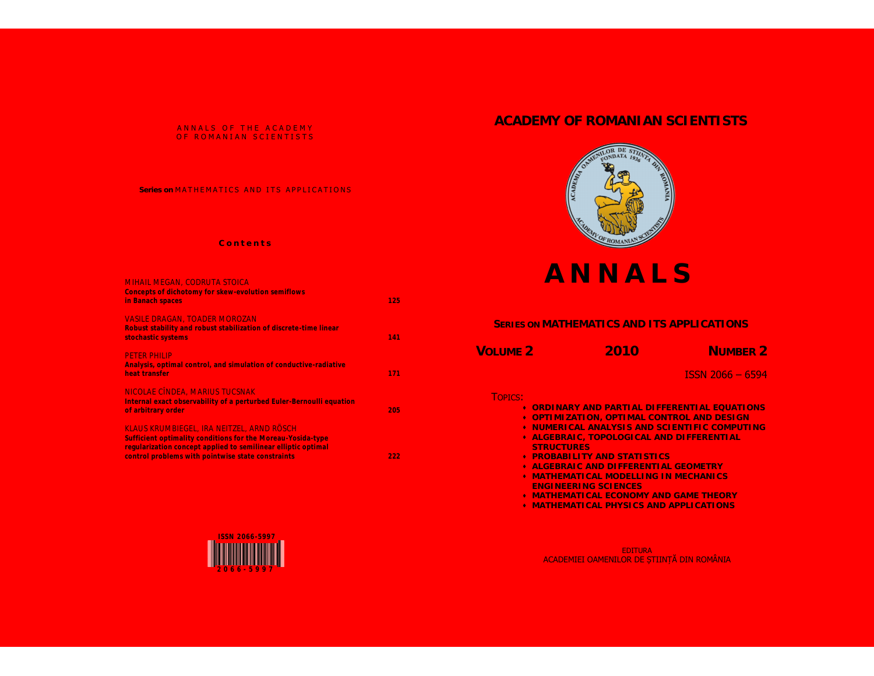## ANNALS OF THE ACADEMY OF ROMANIAN SCIENTISTS

## Series on MATHEMATICS AND ITS APPLICATIONS

## **C o n t e n t s**

| <b>MIHAIL MEGAN, CODRUTA STOICA</b><br><b>Concepts of dichotomy for skew-evolution semiflows</b><br>in Banach spaces                                                                                                           | 125 |
|--------------------------------------------------------------------------------------------------------------------------------------------------------------------------------------------------------------------------------|-----|
| <b>VASILE DRAGAN, TOADER MOROZAN</b><br>Robust stability and robust stabilization of discrete-time linear<br>stochastic systems                                                                                                | 141 |
| <b>PETER PHILIP</b><br>Analysis, optimal control, and simulation of conductive-radiative<br>heat transfer                                                                                                                      | 171 |
| NICOLAE CÎNDEA, MARIUS TUCSNAK<br>Internal exact observability of a perturbed Euler-Bernoulli equation<br>of arbitrary order                                                                                                   | 205 |
| KLAUS KRUMBIEGEL. IRA NEITZEL. ARND RÖSCH<br>Sufficient optimality conditions for the Moreau-Yosida-type<br>regularization concept applied to semilinear elliptic optimal<br>control problems with pointwise state constraints | 222 |



# **ACADEMY OF ROMANIAN SCIENTISTS**



# **A N N A L S**

# **SERIES ON MATHEMATICS AND ITS APPLICATIONS**

| VOLUME <sub>2</sub> | 2010                                                  | NUMBER <sub>2</sub> |
|---------------------|-------------------------------------------------------|---------------------|
|                     |                                                       | ISSN 2066 - 6594'   |
| TOPICS:             | $\bullet$ ORDINARY AND PARTIAL DIFFERENTIAL EQUATIONS |                     |

- **OPTIMIZATION, OPTIMAL CONTROL AND DESIGN**
- **\* NUMERICAL ANALYSIS AND SCIENTIFIC COMPUTING**
- **ALGEBRAIC, TOPOLOGICAL AND DIFFERENTIAL STRUCTURES**
- **PROBABILITY AND STATISTICS**
- **ALGEBRAIC AND DIFFERENTIAL GEOMETRY**
- **MATHEMATICAL MODELLING IN MECHANICS ENGINEERING SCIENCES**
- **MATHEMATICAL ECONOMY AND GAME THEORY**
- **MATHEMATICAL PHYSICS AND APPLICATIONS**

EDITURA ACADEMIEI OAMENILOR DE ȘTIINȚĂ DIN ROMÂNIA